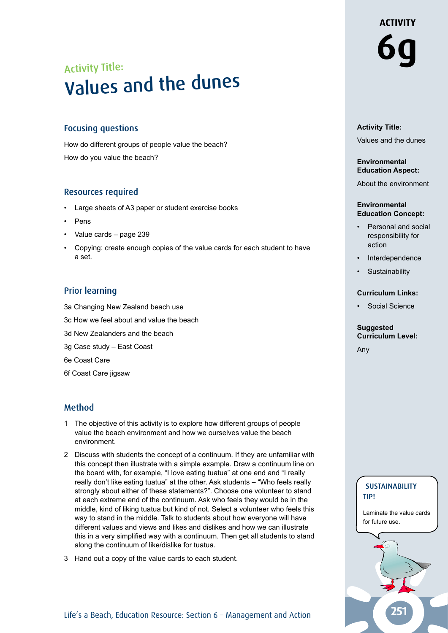# Activity Title: Values and the dunes

#### Focusing questions

How do different groups of people value the beach? How do you value the beach?

#### Resources required

- Large sheets of A3 paper or student exercise books
- **Pens**
- Value cards page 239
- Copying: create enough copies of the value cards for each student to have a set.

#### Prior learning

- 3a Changing New Zealand beach use
- 3c How we feel about and value the beach
- 3d New Zealanders and the beach
- 3g Case study East Coast
- 6e Coast Care
- 6f Coast Care jigsaw

#### Method

- 1 The objective of this activity is to explore how different groups of people value the beach environment and how we ourselves value the beach environment.
- 2 Discuss with students the concept of a continuum. If they are unfamiliar with this concept then illustrate with a simple example. Draw a continuum line on the board with, for example, "I love eating tuatua" at one end and "I really really don't like eating tuatua" at the other. Ask students – "Who feels really strongly about either of these statements?". Choose one volunteer to stand at each extreme end of the continuum. Ask who feels they would be in the middle, kind of liking tuatua but kind of not. Select a volunteer who feels this way to stand in the middle. Talk to students about how everyone will have different values and views and likes and dislikes and how we can illustrate this in a very simplified way with a continuum. Then get all students to stand along the continuum of like/dislike for tuatua.
- 3 Hand out a copy of the value cards to each student.

# **ACTIVITY 6g**

#### **Activity Title:**

Values and the dunes

#### **Environmental Education Aspect:**

About the environment

#### **Environmental Education Concept:**

- Personal and social responsibility for action
- **Interdependence**
- **Sustainability**

#### **Curriculum Links:**

Social Science

#### **Suggested Curriculum Level:**

Any



Laminate the value cards for future use.

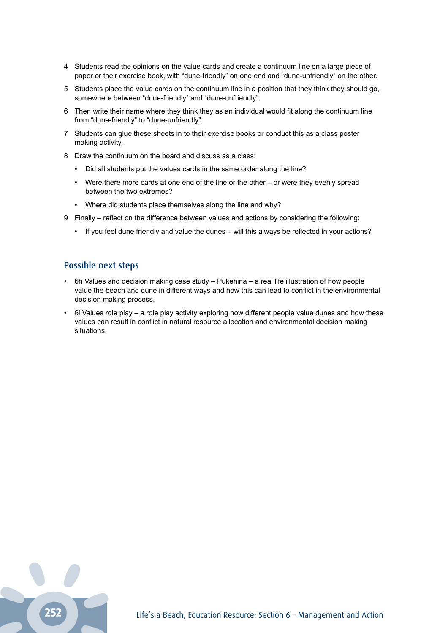- 4 Students read the opinions on the value cards and create a continuum line on a large piece of paper or their exercise book, with "dune-friendly" on one end and "dune-unfriendly" on the other.
- 5 Students place the value cards on the continuum line in a position that they think they should go, somewhere between "dune-friendly" and "dune-unfriendly".
- 6 Then write their name where they think they as an individual would fit along the continuum line from "dune-friendly" to "dune-unfriendly".
- 7 Students can glue these sheets in to their exercise books or conduct this as a class poster making activity.
- 8 Draw the continuum on the board and discuss as a class:
	- Did all students put the values cards in the same order along the line?
	- Were there more cards at one end of the line or the other or were they evenly spread between the two extremes?
	- Where did students place themselves along the line and why?
- 9 Finally reflect on the difference between values and actions by considering the following:
	- If you feel dune friendly and value the dunes will this always be reflected in your actions?

#### Possible next steps

- 6h Values and decision making case study Pukehina a real life illustration of how people value the beach and dune in different ways and how this can lead to conflict in the environmental decision making process.
- 6i Values role play a role play activity exploring how different people value dunes and how these values can result in conflict in natural resource allocation and environmental decision making situations.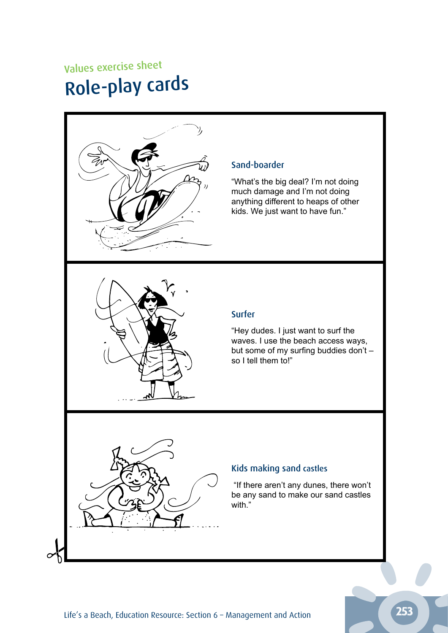# Values exercise sheet Role-play cards



### Sand-boarder

"What's the big deal? I'm not doing much damage and I'm not doing anything different to heaps of other kids. We just want to have fun."



# Surfer

"Hey dudes. I just want to surf the waves. I use the beach access ways, but some of my surfing buddies don't – so I tell them to!"

# Kids making sand castles

 "If there aren't any dunes, there won't be any sand to make our sand castles with."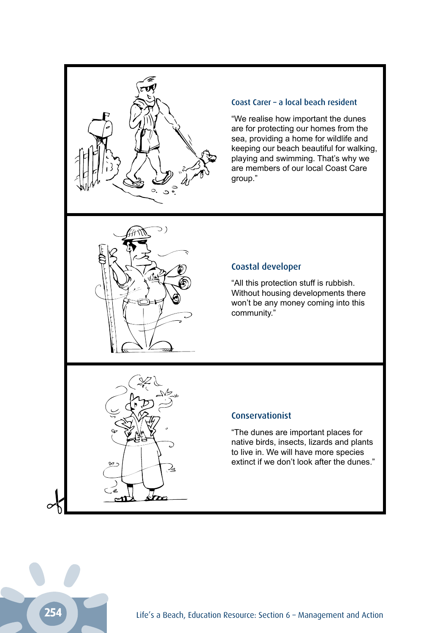